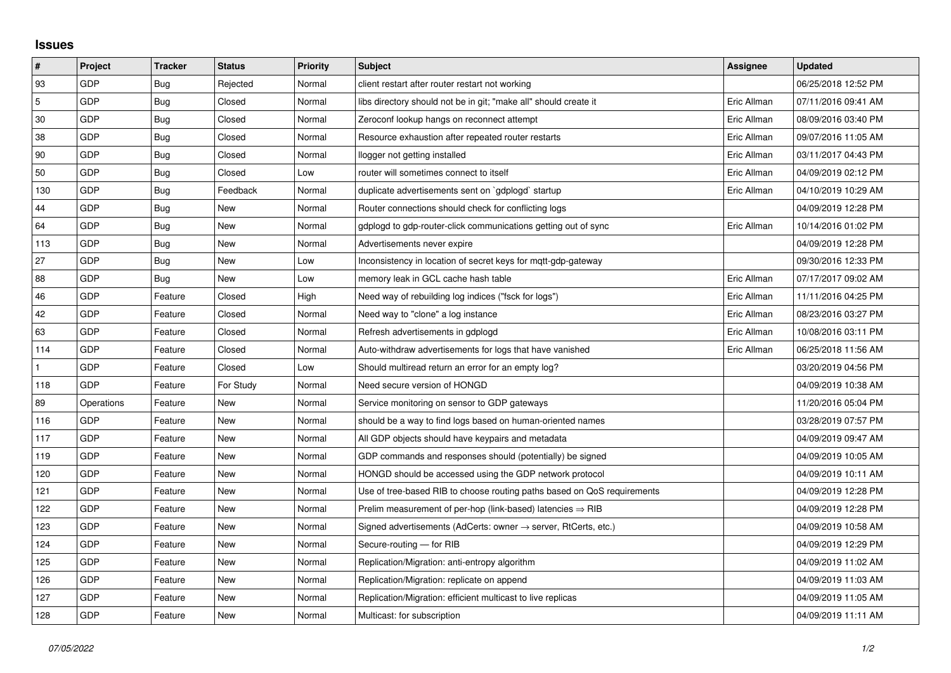## **Issues**

| $\vert$ #    | Project    | <b>Tracker</b> | <b>Status</b> | <b>Priority</b> | <b>Subject</b>                                                             | Assignee    | <b>Updated</b>      |
|--------------|------------|----------------|---------------|-----------------|----------------------------------------------------------------------------|-------------|---------------------|
| 93           | GDP        | <b>Bug</b>     | Rejected      | Normal          | client restart after router restart not working                            |             | 06/25/2018 12:52 PM |
| $\sqrt{5}$   | GDP        | Bug            | Closed        | Normal          | libs directory should not be in git; "make all" should create it           | Eric Allman | 07/11/2016 09:41 AM |
| $30\,$       | GDP        | Bug            | Closed        | Normal          | Zeroconf lookup hangs on reconnect attempt                                 | Eric Allman | 08/09/2016 03:40 PM |
| 38           | GDP        | Bug            | Closed        | Normal          | Resource exhaustion after repeated router restarts                         | Eric Allman | 09/07/2016 11:05 AM |
| 90           | GDP        | Bug            | Closed        | Normal          | llogger not getting installed                                              | Eric Allman | 03/11/2017 04:43 PM |
| 50           | GDP        | Bug            | Closed        | Low             | router will sometimes connect to itself                                    | Eric Allman | 04/09/2019 02:12 PM |
| 130          | GDP        | Bug            | Feedback      | Normal          | duplicate advertisements sent on `gdplogd` startup                         | Eric Allman | 04/10/2019 10:29 AM |
| 44           | GDP        | Bug            | New           | Normal          | Router connections should check for conflicting logs                       |             | 04/09/2019 12:28 PM |
| 64           | GDP        | <b>Bug</b>     | New           | Normal          | gdplogd to gdp-router-click communications getting out of sync             | Eric Allman | 10/14/2016 01:02 PM |
| 113          | GDP        | Bug            | New           | Normal          | Advertisements never expire                                                |             | 04/09/2019 12:28 PM |
| 27           | GDP        | Bug            | New           | Low             | Inconsistency in location of secret keys for mqtt-gdp-gateway              |             | 09/30/2016 12:33 PM |
| 88           | GDP        | Bug            | New           | Low             | memory leak in GCL cache hash table                                        | Eric Allman | 07/17/2017 09:02 AM |
| 46           | GDP        | Feature        | Closed        | High            | Need way of rebuilding log indices ("fsck for logs")                       | Eric Allman | 11/11/2016 04:25 PM |
| 42           | GDP        | Feature        | Closed        | Normal          | Need way to "clone" a log instance                                         | Eric Allman | 08/23/2016 03:27 PM |
| 63           | GDP        | Feature        | Closed        | Normal          | Refresh advertisements in gdplogd                                          | Eric Allman | 10/08/2016 03:11 PM |
| 114          | GDP        | Feature        | Closed        | Normal          | Auto-withdraw advertisements for logs that have vanished                   | Eric Allman | 06/25/2018 11:56 AM |
| $\mathbf{1}$ | GDP        | Feature        | Closed        | Low             | Should multiread return an error for an empty log?                         |             | 03/20/2019 04:56 PM |
| 118          | GDP        | Feature        | For Study     | Normal          | Need secure version of HONGD                                               |             | 04/09/2019 10:38 AM |
| 89           | Operations | Feature        | New           | Normal          | Service monitoring on sensor to GDP gateways                               |             | 11/20/2016 05:04 PM |
| 116          | GDP        | Feature        | New           | Normal          | should be a way to find logs based on human-oriented names                 |             | 03/28/2019 07:57 PM |
| 117          | GDP        | Feature        | New           | Normal          | All GDP objects should have keypairs and metadata                          |             | 04/09/2019 09:47 AM |
| 119          | GDP        | Feature        | New           | Normal          | GDP commands and responses should (potentially) be signed                  |             | 04/09/2019 10:05 AM |
| 120          | GDP        | Feature        | New           | Normal          | HONGD should be accessed using the GDP network protocol                    |             | 04/09/2019 10:11 AM |
| 121          | GDP        | Feature        | New           | Normal          | Use of tree-based RIB to choose routing paths based on QoS requirements    |             | 04/09/2019 12:28 PM |
| 122          | GDP        | Feature        | New           | Normal          | Prelim measurement of per-hop (link-based) latencies $\Rightarrow$ RIB     |             | 04/09/2019 12:28 PM |
| 123          | GDP        | Feature        | New           | Normal          | Signed advertisements (AdCerts: owner $\rightarrow$ server, RtCerts, etc.) |             | 04/09/2019 10:58 AM |
| 124          | GDP        | Feature        | New           | Normal          | Secure-routing - for RIB                                                   |             | 04/09/2019 12:29 PM |
| 125          | GDP        | Feature        | New           | Normal          | Replication/Migration: anti-entropy algorithm                              |             | 04/09/2019 11:02 AM |
| 126          | GDP        | Feature        | New           | Normal          | Replication/Migration: replicate on append                                 |             | 04/09/2019 11:03 AM |
| 127          | GDP        | Feature        | New           | Normal          | Replication/Migration: efficient multicast to live replicas                |             | 04/09/2019 11:05 AM |
| 128          | GDP        | Feature        | New           | Normal          | Multicast: for subscription                                                |             | 04/09/2019 11:11 AM |